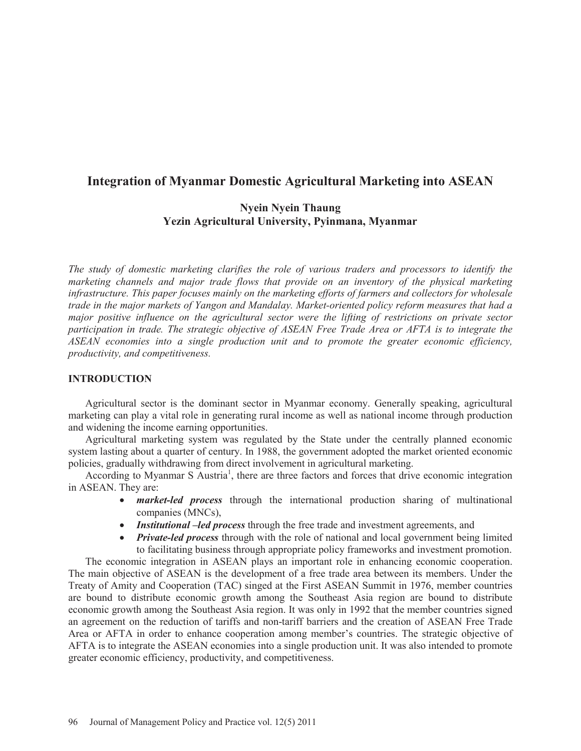# **Integration of Myanmar Domestic Agricultural Marketing into ASEAN**

# **Nyein Nyein Thaung Yezin Agricultural University, Pyinmana, Myanmar**

*The study of domestic marketing clarifies the role of various traders and processors to identify the marketing channels and major trade flows that provide on an inventory of the physical marketing infrastructure. This paper focuses mainly on the marketing efforts of farmers and collectors for wholesale trade in the major markets of Yangon and Mandalay. Market-oriented policy reform measures that had a major positive influence on the agricultural sector were the lifting of restrictions on private sector participation in trade. The strategic objective of ASEAN Free Trade Area or AFTA is to integrate the ASEAN economies into a single production unit and to promote the greater economic efficiency, productivity, and competitiveness.*

## **INTRODUCTION**

Agricultural sector is the dominant sector in Myanmar economy. Generally speaking, agricultural marketing can play a vital role in generating rural income as well as national income through production and widening the income earning opportunities.

Agricultural marketing system was regulated by the State under the centrally planned economic system lasting about a quarter of century. In 1988, the government adopted the market oriented economic policies, gradually withdrawing from direct involvement in agricultural marketing.

According to Myanmar S Austria<sup>1</sup>, there are three factors and forces that drive economic integration in ASEAN. They are:

- *market-led process* through the international production sharing of multinational companies (MNCs),
- x *Institutional –led process* through the free trade and investment agreements, and
- *Private-led process* through with the role of national and local government being limited to facilitating business through appropriate policy frameworks and investment promotion.

The economic integration in ASEAN plays an important role in enhancing economic cooperation. The main objective of ASEAN is the development of a free trade area between its members. Under the Treaty of Amity and Cooperation (TAC) singed at the First ASEAN Summit in 1976, member countries are bound to distribute economic growth among the Southeast Asia region are bound to distribute economic growth among the Southeast Asia region. It was only in 1992 that the member countries signed an agreement on the reduction of tariffs and non-tariff barriers and the creation of ASEAN Free Trade Area or AFTA in order to enhance cooperation among member's countries. The strategic objective of AFTA is to integrate the ASEAN economies into a single production unit. It was also intended to promote greater economic efficiency, productivity, and competitiveness.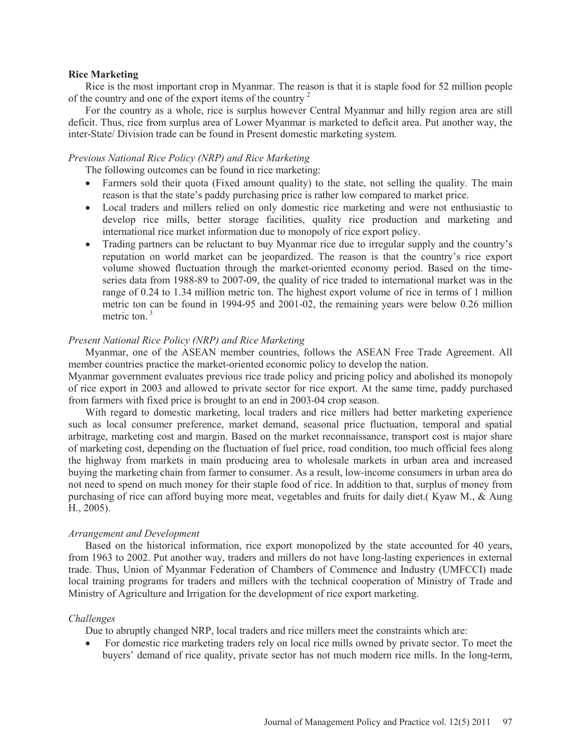#### **Rice Marketing**

Rice is the most important crop in Myanmar. The reason is that it is staple food for 52 million people of the country and one of the export items of the country <sup>2</sup>

For the country as a whole, rice is surplus however Central Myanmar and hilly region area are still deficit. Thus, rice from surplus area of Lower Myanmar is marketed to deficit area. Put another way, the inter-State/ Division trade can be found in Present domestic marketing system.

### *Previous National Rice Policy (NRP) and Rice Marketing*

The following outcomes can be found in rice marketing:

- Farmers sold their quota (Fixed amount quality) to the state, not selling the quality. The main reason is that the state's paddy purchasing price is rather low compared to market price.
- Local traders and millers relied on only domestic rice marketing and were not enthusiastic to develop rice mills, better storage facilities, quality rice production and marketing and international rice market information due to monopoly of rice export policy.
- Trading partners can be reluctant to buy Myanmar rice due to irregular supply and the country's reputation on world market can be jeopardized. The reason is that the country's rice export volume showed fluctuation through the market-oriented economy period. Based on the timeseries data from 1988-89 to 2007-09, the quality of rice traded to international market was in the range of 0.24 to 1.34 million metric ton. The highest export volume of rice in terms of 1 million metric ton can be found in 1994-95 and 2001-02, the remaining years were below 0.26 million metric ton.<sup>3</sup>

### *Present National Rice Policy (NRP) and Rice Marketing*

Myanmar, one of the ASEAN member countries, follows the ASEAN Free Trade Agreement. All member countries practice the market-oriented economic policy to develop the nation.

Myanmar government evaluates previous rice trade policy and pricing policy and abolished its monopoly of rice export in 2003 and allowed to private sector for rice export. At the same time, paddy purchased from farmers with fixed price is brought to an end in 2003-04 crop season.

With regard to domestic marketing, local traders and rice millers had better marketing experience such as local consumer preference, market demand, seasonal price fluctuation, temporal and spatial arbitrage, marketing cost and margin. Based on the market reconnaissance, transport cost is major share of marketing cost, depending on the fluctuation of fuel price, road condition, too much official fees along the highway from markets in main producing area to wholesale markets in urban area and increased buying the marketing chain from farmer to consumer. As a result, low-income consumers in urban area do not need to spend on much money for their staple food of rice. In addition to that, surplus of money from purchasing of rice can afford buying more meat, vegetables and fruits for daily diet.( Kyaw M., & Aung H., 2005).

### *Arrangement and Development*

Based on the historical information, rice export monopolized by the state accounted for 40 years, from 1963 to 2002. Put another way, traders and millers do not have long-lasting experiences in external trade. Thus, Union of Myanmar Federation of Chambers of Commence and Industry (UMFCCI) made local training programs for traders and millers with the technical cooperation of Ministry of Trade and Ministry of Agriculture and Irrigation for the development of rice export marketing.

### *Challenges*

Due to abruptly changed NRP, local traders and rice millers meet the constraints which are:

• For domestic rice marketing traders rely on local rice mills owned by private sector. To meet the buyers' demand of rice quality, private sector has not much modern rice mills. In the long-term,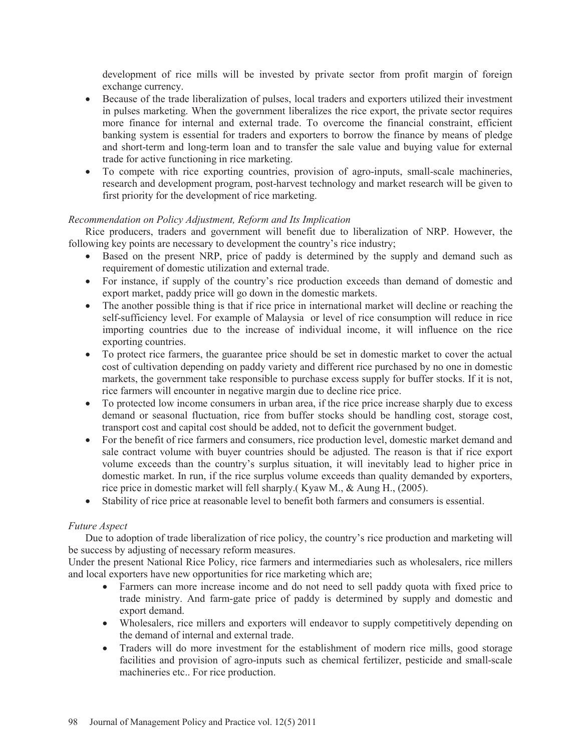development of rice mills will be invested by private sector from profit margin of foreign exchange currency.

- Because of the trade liberalization of pulses, local traders and exporters utilized their investment in pulses marketing. When the government liberalizes the rice export, the private sector requires more finance for internal and external trade. To overcome the financial constraint, efficient banking system is essential for traders and exporters to borrow the finance by means of pledge and short-term and long-term loan and to transfer the sale value and buying value for external trade for active functioning in rice marketing.
- To compete with rice exporting countries, provision of agro-inputs, small-scale machineries, research and development program, post-harvest technology and market research will be given to first priority for the development of rice marketing.

## *Recommendation on Policy Adjustment, Reform and Its Implication*

Rice producers, traders and government will benefit due to liberalization of NRP. However, the following key points are necessary to development the country's rice industry;

- Based on the present NRP, price of paddy is determined by the supply and demand such as requirement of domestic utilization and external trade.
- For instance, if supply of the country's rice production exceeds than demand of domestic and export market, paddy price will go down in the domestic markets.
- The another possible thing is that if rice price in international market will decline or reaching the self-sufficiency level. For example of Malaysia or level of rice consumption will reduce in rice importing countries due to the increase of individual income, it will influence on the rice exporting countries.
- To protect rice farmers, the guarantee price should be set in domestic market to cover the actual cost of cultivation depending on paddy variety and different rice purchased by no one in domestic markets, the government take responsible to purchase excess supply for buffer stocks. If it is not, rice farmers will encounter in negative margin due to decline rice price.
- To protected low income consumers in urban area, if the rice price increase sharply due to excess demand or seasonal fluctuation, rice from buffer stocks should be handling cost, storage cost, transport cost and capital cost should be added, not to deficit the government budget.
- For the benefit of rice farmers and consumers, rice production level, domestic market demand and sale contract volume with buyer countries should be adjusted. The reason is that if rice export volume exceeds than the country's surplus situation, it will inevitably lead to higher price in domestic market. In run, if the rice surplus volume exceeds than quality demanded by exporters, rice price in domestic market will fell sharply.( Kyaw M., & Aung H., (2005).
- Stability of rice price at reasonable level to benefit both farmers and consumers is essential.

## *Future Aspect*

Due to adoption of trade liberalization of rice policy, the country's rice production and marketing will be success by adjusting of necessary reform measures.

Under the present National Rice Policy, rice farmers and intermediaries such as wholesalers, rice millers and local exporters have new opportunities for rice marketing which are;

- Farmers can more increase income and do not need to sell paddy quota with fixed price to trade ministry. And farm-gate price of paddy is determined by supply and domestic and export demand.
- Wholesalers, rice millers and exporters will endeavor to supply competitively depending on the demand of internal and external trade.
- Traders will do more investment for the establishment of modern rice mills, good storage facilities and provision of agro-inputs such as chemical fertilizer, pesticide and small-scale machineries etc.. For rice production.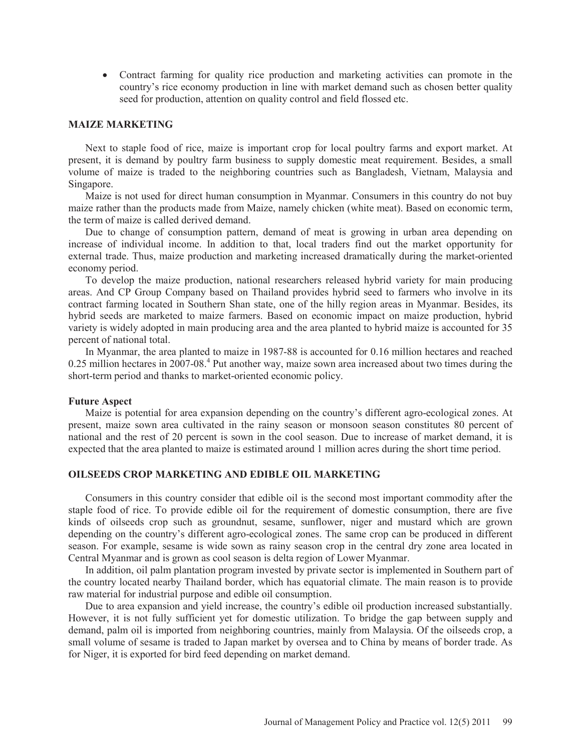• Contract farming for quality rice production and marketing activities can promote in the country's rice economy production in line with market demand such as chosen better quality seed for production, attention on quality control and field flossed etc.

### **MAIZE MARKETING**

Next to staple food of rice, maize is important crop for local poultry farms and export market. At present, it is demand by poultry farm business to supply domestic meat requirement. Besides, a small volume of maize is traded to the neighboring countries such as Bangladesh, Vietnam, Malaysia and Singapore.

Maize is not used for direct human consumption in Myanmar. Consumers in this country do not buy maize rather than the products made from Maize, namely chicken (white meat). Based on economic term, the term of maize is called derived demand.

Due to change of consumption pattern, demand of meat is growing in urban area depending on increase of individual income. In addition to that, local traders find out the market opportunity for external trade. Thus, maize production and marketing increased dramatically during the market-oriented economy period.

To develop the maize production, national researchers released hybrid variety for main producing areas. And CP Group Company based on Thailand provides hybrid seed to farmers who involve in its contract farming located in Southern Shan state, one of the hilly region areas in Myanmar. Besides, its hybrid seeds are marketed to maize farmers. Based on economic impact on maize production, hybrid variety is widely adopted in main producing area and the area planted to hybrid maize is accounted for 35 percent of national total.

In Myanmar, the area planted to maize in 1987-88 is accounted for 0.16 million hectares and reached  $0.25$  million hectares in  $2007$ -08.<sup>4</sup> Put another way, maize sown area increased about two times during the short-term period and thanks to market-oriented economic policy.

#### **Future Aspect**

Maize is potential for area expansion depending on the country's different agro-ecological zones. At present, maize sown area cultivated in the rainy season or monsoon season constitutes 80 percent of national and the rest of 20 percent is sown in the cool season. Due to increase of market demand, it is expected that the area planted to maize is estimated around 1 million acres during the short time period.

### **OILSEEDS CROP MARKETING AND EDIBLE OIL MARKETING**

Consumers in this country consider that edible oil is the second most important commodity after the staple food of rice. To provide edible oil for the requirement of domestic consumption, there are five kinds of oilseeds crop such as groundnut, sesame, sunflower, niger and mustard which are grown depending on the country's different agro-ecological zones. The same crop can be produced in different season. For example, sesame is wide sown as rainy season crop in the central dry zone area located in Central Myanmar and is grown as cool season is delta region of Lower Myanmar.

In addition, oil palm plantation program invested by private sector is implemented in Southern part of the country located nearby Thailand border, which has equatorial climate. The main reason is to provide raw material for industrial purpose and edible oil consumption.

Due to area expansion and yield increase, the country's edible oil production increased substantially. However, it is not fully sufficient yet for domestic utilization. To bridge the gap between supply and demand, palm oil is imported from neighboring countries, mainly from Malaysia. Of the oilseeds crop, a small volume of sesame is traded to Japan market by oversea and to China by means of border trade. As for Niger, it is exported for bird feed depending on market demand.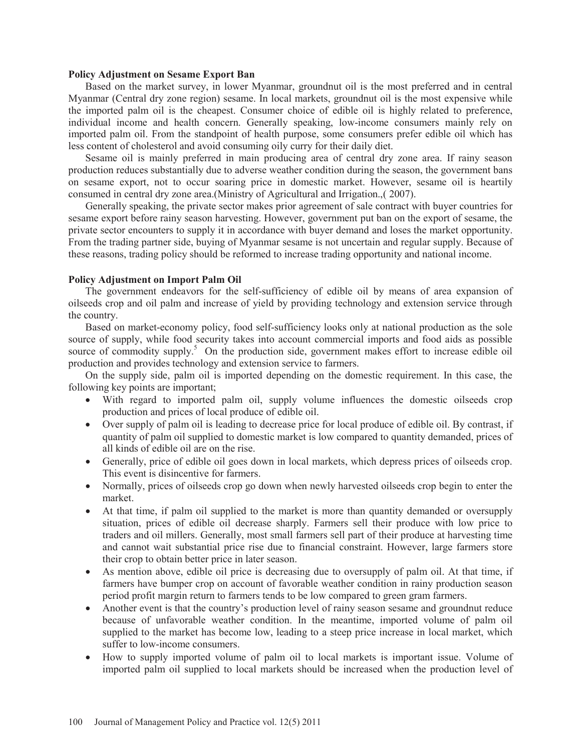#### **Policy Adjustment on Sesame Export Ban**

Based on the market survey, in lower Myanmar, groundnut oil is the most preferred and in central Myanmar (Central dry zone region) sesame. In local markets, groundnut oil is the most expensive while the imported palm oil is the cheapest. Consumer choice of edible oil is highly related to preference, individual income and health concern. Generally speaking, low-income consumers mainly rely on imported palm oil. From the standpoint of health purpose, some consumers prefer edible oil which has less content of cholesterol and avoid consuming oily curry for their daily diet.

Sesame oil is mainly preferred in main producing area of central dry zone area. If rainy season production reduces substantially due to adverse weather condition during the season, the government bans on sesame export, not to occur soaring price in domestic market. However, sesame oil is heartily consumed in central dry zone area.(Ministry of Agricultural and Irrigation.,( 2007).

Generally speaking, the private sector makes prior agreement of sale contract with buyer countries for sesame export before rainy season harvesting. However, government put ban on the export of sesame, the private sector encounters to supply it in accordance with buyer demand and loses the market opportunity. From the trading partner side, buying of Myanmar sesame is not uncertain and regular supply. Because of these reasons, trading policy should be reformed to increase trading opportunity and national income.

### **Policy Adjustment on Import Palm Oil**

The government endeavors for the self-sufficiency of edible oil by means of area expansion of oilseeds crop and oil palm and increase of yield by providing technology and extension service through the country.

Based on market-economy policy, food self-sufficiency looks only at national production as the sole source of supply, while food security takes into account commercial imports and food aids as possible source of commodity supply.<sup>5</sup> On the production side, government makes effort to increase edible oil production and provides technology and extension service to farmers.

On the supply side, palm oil is imported depending on the domestic requirement. In this case, the following key points are important;

- With regard to imported palm oil, supply volume influences the domestic oilseeds crop production and prices of local produce of edible oil.
- Over supply of palm oil is leading to decrease price for local produce of edible oil. By contrast, if quantity of palm oil supplied to domestic market is low compared to quantity demanded, prices of all kinds of edible oil are on the rise.
- Generally, price of edible oil goes down in local markets, which depress prices of oilseeds crop. This event is disincentive for farmers.
- Normally, prices of oilseeds crop go down when newly harvested oilseeds crop begin to enter the market.
- At that time, if palm oil supplied to the market is more than quantity demanded or oversupply situation, prices of edible oil decrease sharply. Farmers sell their produce with low price to traders and oil millers. Generally, most small farmers sell part of their produce at harvesting time and cannot wait substantial price rise due to financial constraint. However, large farmers store their crop to obtain better price in later season.
- As mention above, edible oil price is decreasing due to oversupply of palm oil. At that time, if farmers have bumper crop on account of favorable weather condition in rainy production season period profit margin return to farmers tends to be low compared to green gram farmers.
- x Another event is that the country's production level of rainy season sesame and groundnut reduce because of unfavorable weather condition. In the meantime, imported volume of palm oil supplied to the market has become low, leading to a steep price increase in local market, which suffer to low-income consumers.
- How to supply imported volume of palm oil to local markets is important issue. Volume of imported palm oil supplied to local markets should be increased when the production level of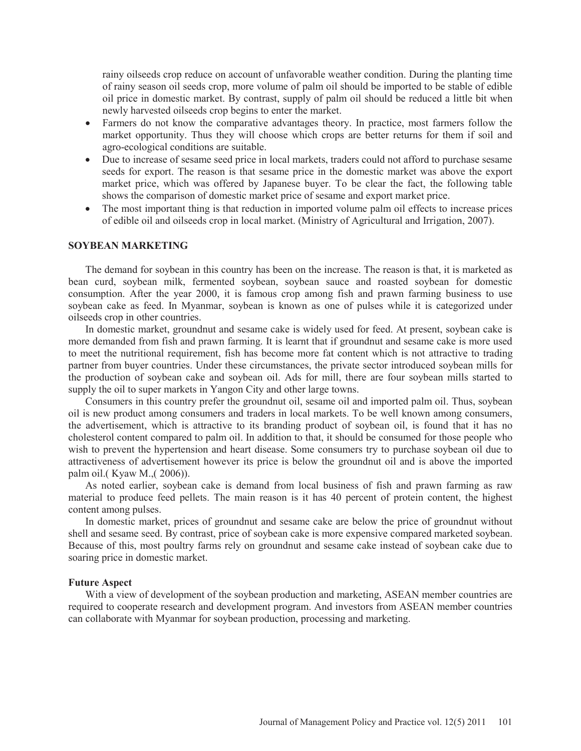rainy oilseeds crop reduce on account of unfavorable weather condition. During the planting time of rainy season oil seeds crop, more volume of palm oil should be imported to be stable of edible oil price in domestic market. By contrast, supply of palm oil should be reduced a little bit when newly harvested oilseeds crop begins to enter the market.

- x Farmers do not know the comparative advantages theory. In practice, most farmers follow the market opportunity. Thus they will choose which crops are better returns for them if soil and agro-ecological conditions are suitable.
- Due to increase of sesame seed price in local markets, traders could not afford to purchase sesame seeds for export. The reason is that sesame price in the domestic market was above the export market price, which was offered by Japanese buyer. To be clear the fact, the following table shows the comparison of domestic market price of sesame and export market price.
- The most important thing is that reduction in imported volume palm oil effects to increase prices of edible oil and oilseeds crop in local market. (Ministry of Agricultural and Irrigation, 2007).

### **SOYBEAN MARKETING**

The demand for soybean in this country has been on the increase. The reason is that, it is marketed as bean curd, soybean milk, fermented soybean, soybean sauce and roasted soybean for domestic consumption. After the year 2000, it is famous crop among fish and prawn farming business to use soybean cake as feed. In Myanmar, soybean is known as one of pulses while it is categorized under oilseeds crop in other countries.

In domestic market, groundnut and sesame cake is widely used for feed. At present, soybean cake is more demanded from fish and prawn farming. It is learnt that if groundnut and sesame cake is more used to meet the nutritional requirement, fish has become more fat content which is not attractive to trading partner from buyer countries. Under these circumstances, the private sector introduced soybean mills for the production of soybean cake and soybean oil. Ads for mill, there are four soybean mills started to supply the oil to super markets in Yangon City and other large towns.

Consumers in this country prefer the groundnut oil, sesame oil and imported palm oil. Thus, soybean oil is new product among consumers and traders in local markets. To be well known among consumers, the advertisement, which is attractive to its branding product of soybean oil, is found that it has no cholesterol content compared to palm oil. In addition to that, it should be consumed for those people who wish to prevent the hypertension and heart disease. Some consumers try to purchase soybean oil due to attractiveness of advertisement however its price is below the groundnut oil and is above the imported palm oil.( Kyaw M.,( 2006)).

As noted earlier, soybean cake is demand from local business of fish and prawn farming as raw material to produce feed pellets. The main reason is it has 40 percent of protein content, the highest content among pulses.

In domestic market, prices of groundnut and sesame cake are below the price of groundnut without shell and sesame seed. By contrast, price of soybean cake is more expensive compared marketed soybean. Because of this, most poultry farms rely on groundnut and sesame cake instead of soybean cake due to soaring price in domestic market.

#### **Future Aspect**

With a view of development of the soybean production and marketing, ASEAN member countries are required to cooperate research and development program. And investors from ASEAN member countries can collaborate with Myanmar for soybean production, processing and marketing.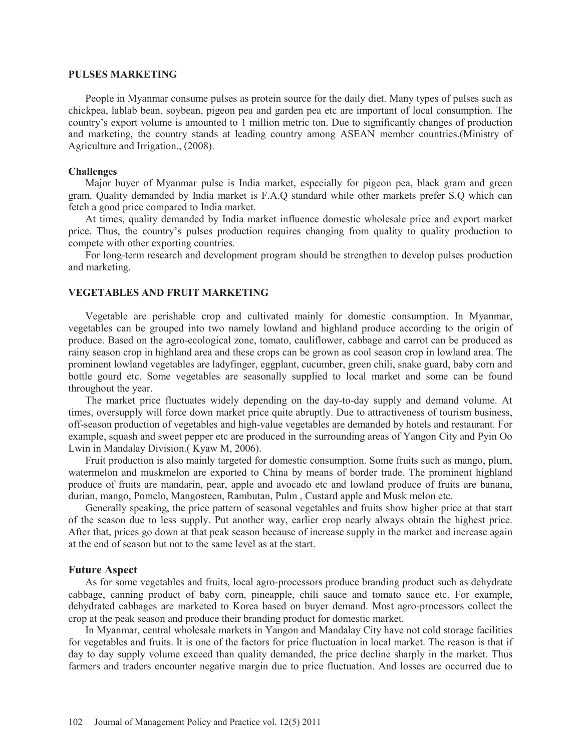### **PULSES MARKETING**

People in Myanmar consume pulses as protein source for the daily diet. Many types of pulses such as chickpea, lablab bean, soybean, pigeon pea and garden pea etc are important of local consumption. The country's export volume is amounted to 1 million metric ton. Due to significantly changes of production and marketing, the country stands at leading country among ASEAN member countries.(Ministry of Agriculture and Irrigation., (2008).

## **Challenges**

Major buyer of Myanmar pulse is India market, especially for pigeon pea, black gram and green gram. Quality demanded by India market is F.A.Q standard while other markets prefer S.Q which can fetch a good price compared to India market.

At times, quality demanded by India market influence domestic wholesale price and export market price. Thus, the country's pulses production requires changing from quality to quality production to compete with other exporting countries.

For long-term research and development program should be strengthen to develop pulses production and marketing.

## **VEGETABLES AND FRUIT MARKETING**

Vegetable are perishable crop and cultivated mainly for domestic consumption. In Myanmar, vegetables can be grouped into two namely lowland and highland produce according to the origin of produce. Based on the agro-ecological zone, tomato, cauliflower, cabbage and carrot can be produced as rainy season crop in highland area and these crops can be grown as cool season crop in lowland area. The prominent lowland vegetables are ladyfinger, eggplant, cucumber, green chili, snake guard, baby corn and bottle gourd etc. Some vegetables are seasonally supplied to local market and some can be found throughout the year.

The market price fluctuates widely depending on the day-to-day supply and demand volume. At times, oversupply will force down market price quite abruptly. Due to attractiveness of tourism business, off-season production of vegetables and high-value vegetables are demanded by hotels and restaurant. For example, squash and sweet pepper etc are produced in the surrounding areas of Yangon City and Pyin Oo Lwin in Mandalay Division.( Kyaw M, 2006).

Fruit production is also mainly targeted for domestic consumption. Some fruits such as mango, plum, watermelon and muskmelon are exported to China by means of border trade. The prominent highland produce of fruits are mandarin, pear, apple and avocado etc and lowland produce of fruits are banana, durian, mango, Pomelo, Mangosteen, Rambutan, Pulm , Custard apple and Musk melon etc.

Generally speaking, the price pattern of seasonal vegetables and fruits show higher price at that start of the season due to less supply. Put another way, earlier crop nearly always obtain the highest price. After that, prices go down at that peak season because of increase supply in the market and increase again at the end of season but not to the same level as at the start.

### **Future Aspect**

As for some vegetables and fruits, local agro-processors produce branding product such as dehydrate cabbage, canning product of baby corn, pineapple, chili sauce and tomato sauce etc. For example, dehydrated cabbages are marketed to Korea based on buyer demand. Most agro-processors collect the crop at the peak season and produce their branding product for domestic market.

In Myanmar, central wholesale markets in Yangon and Mandalay City have not cold storage facilities for vegetables and fruits. It is one of the factors for price fluctuation in local market. The reason is that if day to day supply volume exceed than quality demanded, the price decline sharply in the market. Thus farmers and traders encounter negative margin due to price fluctuation. And losses are occurred due to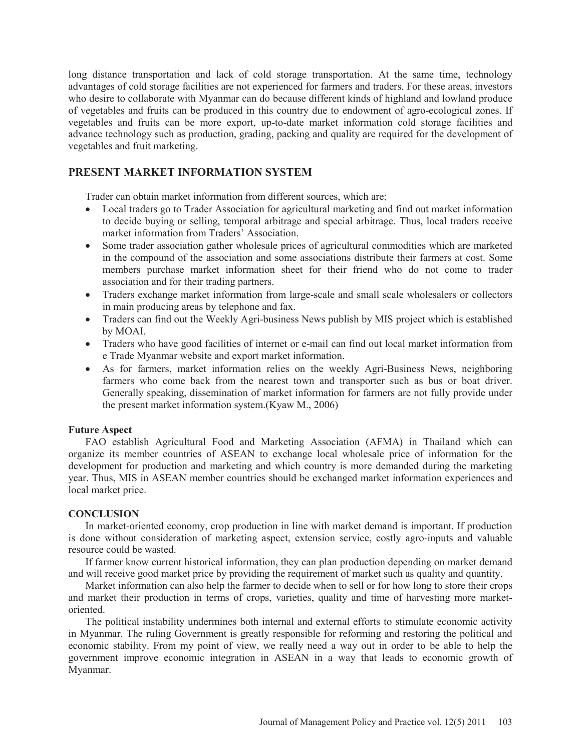long distance transportation and lack of cold storage transportation. At the same time, technology advantages of cold storage facilities are not experienced for farmers and traders. For these areas, investors who desire to collaborate with Myanmar can do because different kinds of highland and lowland produce of vegetables and fruits can be produced in this country due to endowment of agro-ecological zones. If vegetables and fruits can be more export, up-to-date market information cold storage facilities and advance technology such as production, grading, packing and quality are required for the development of vegetables and fruit marketing.

# **PRESENT MARKET INFORMATION SYSTEM**

Trader can obtain market information from different sources, which are;

- Local traders go to Trader Association for agricultural marketing and find out market information to decide buying or selling, temporal arbitrage and special arbitrage. Thus, local traders receive market information from Traders' Association.
- Some trader association gather wholesale prices of agricultural commodities which are marketed in the compound of the association and some associations distribute their farmers at cost. Some members purchase market information sheet for their friend who do not come to trader association and for their trading partners.
- Traders exchange market information from large-scale and small scale wholesalers or collectors in main producing areas by telephone and fax.
- Traders can find out the Weekly Agri-business News publish by MIS project which is established by MOAI.
- Traders who have good facilities of internet or e-mail can find out local market information from e Trade Myanmar website and export market information.
- As for farmers, market information relies on the weekly Agri-Business News, neighboring farmers who come back from the nearest town and transporter such as bus or boat driver. Generally speaking, dissemination of market information for farmers are not fully provide under the present market information system.(Kyaw M., 2006)

## **Future Aspect**

FAO establish Agricultural Food and Marketing Association (AFMA) in Thailand which can organize its member countries of ASEAN to exchange local wholesale price of information for the development for production and marketing and which country is more demanded during the marketing year. Thus, MIS in ASEAN member countries should be exchanged market information experiences and local market price.

## **CONCLUSION**

In market-oriented economy, crop production in line with market demand is important. If production is done without consideration of marketing aspect, extension service, costly agro-inputs and valuable resource could be wasted.

If farmer know current historical information, they can plan production depending on market demand and will receive good market price by providing the requirement of market such as quality and quantity.

Market information can also help the farmer to decide when to sell or for how long to store their crops and market their production in terms of crops, varieties, quality and time of harvesting more marketoriented.

The political instability undermines both internal and external efforts to stimulate economic activity in Myanmar. The ruling Government is greatly responsible for reforming and restoring the political and economic stability. From my point of view, we really need a way out in order to be able to help the government improve economic integration in ASEAN in a way that leads to economic growth of Myanmar.